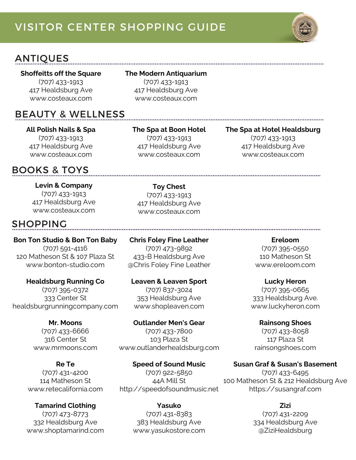# VISITOR CENTER SHOPPING GUIDE



## ANTIQUES

#### **Shoffeitts off the Square** (707) 433-1913 417 Healdsburg Ave

www.costeaux.com

#### **The Modern Antiquarium**

(707) 433-1913 417 Healdsburg Ave www.costeaux.com

## BEAUTY & WELLNESS

**All Polish Nails & Spa** (707) 433-1913 417 Healdsburg Ave www.costeaux.com

## BOOKS & TOYS

**Levin & Company** (707) 433-1913 417 Healdsburg Ave www.costeaux.com

## SHOPPING

**Bon Ton Studio & Bon Ton Baby** (707) 591-4116 120 Matheson St & 107 Plaza St www.bonton-studio.com

**Healdsburg Running Co** (707) 395-0372 333 Center St healdsburgrunningcompany.com

> **Mr. Moons** (707) 433-6666 316 Center St www.mrmoons.com

**Re Te** (707) 431-4200 114 Matheson St www.retecalifornia.com

**Tamarind Clothing** (707) 473-8773 332 Healdsburg Ave www.shoptamarind.com **The Spa at Boon Hotel**

(707) 433-1913 417 Healdsburg Ave www.costeaux.com

#### **The Spa at Hotel Healdsburg**

(707) 433-1913 417 Healdsburg Ave www.costeaux.com

(707) 433-1913 417 Healdsburg Ave www.costeaux.com

**Toy Chest**

**Chris Foley Fine Leather** (707) 473-9892 433-B Healdsburg Ave @Chris Foley Fine Leather

**Leaven & Leaven Sport** (707) 837-3024 353 Healdsburg Ave www.shopleaven.com

**Outlander Men's Gear** (707) 433-7800 103 Plaza St www.outlanderhealdsburg.com

**Speed of Sound Music** (707) 922-5850 44A Mill St http://speedofsoundmusic.net

> **Yasuko** (707) 431-8383 383 Healdsburg Ave www.yasukostore.com

**Ereloom** (707) 395-0550 110 Matheson St www.ereloom.com

**Lucky Heron** (707) 395-0665 333 Healdsburg Ave. www.luckyheron.com

**Rainsong Shoes** (707) 433-8058 117 Plaza St rainsongshoes.com

**Susan Graf & Susan's Basement** (707) 433-6495 100 Matheson St & 212 Healdsburg Ave https://susangraf.com

**Zizi**

(707) 431-2209 334 Healdsburg Ave @ZiziHealdsburg